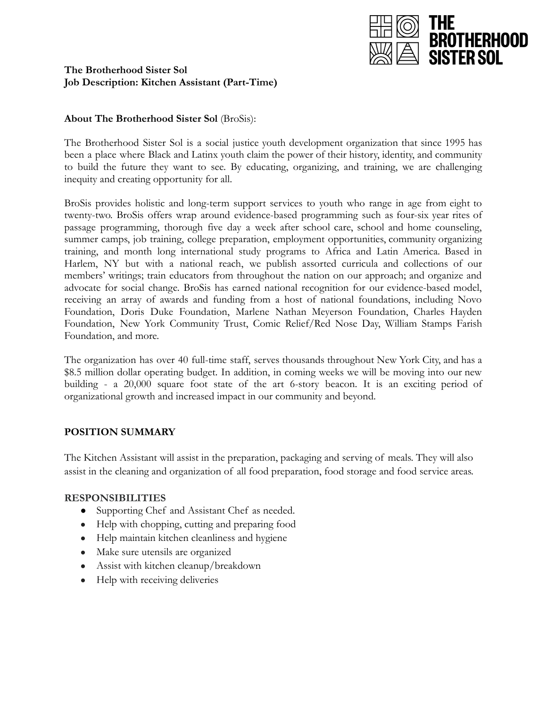

### **The Brotherhood Sister Sol Job Description: Kitchen Assistant (Part-Time)**

### **About The Brotherhood Sister Sol** (BroSis):

The Brotherhood Sister Sol is a social justice youth development organization that since 1995 has been a place where Black and Latinx youth claim the power of their history, identity, and community to build the future they want to see. By educating, organizing, and training, we are challenging inequity and creating opportunity for all.

BroSis provides holistic and long-term support services to youth who range in age from eight to twenty-two. BroSis offers wrap around evidence-based programming such as four-six year rites of passage programming, thorough five day a week after school care, school and home counseling, summer camps, job training, college preparation, employment opportunities, community organizing training, and month long international study programs to Africa and Latin America. Based in Harlem, NY but with a national reach, we publish assorted curricula and collections of our members' writings; train educators from throughout the nation on our approach; and organize and advocate for social change. BroSis has earned national recognition for our evidence-based model, receiving an array of awards and funding from a host of national foundations, including Novo Foundation, Doris Duke Foundation, Marlene Nathan Meyerson Foundation, Charles Hayden Foundation, New York Community Trust, Comic Relief/Red Nose Day, William Stamps Farish Foundation, and more.

The organization has over 40 full-time staff, serves thousands throughout New York City, and has a \$8.5 million dollar operating budget. In addition, in coming weeks we will be moving into our new building - a 20,000 square foot state of the art 6-story beacon. It is an exciting period of organizational growth and increased impact in our community and beyond.

# **POSITION SUMMARY**

The Kitchen Assistant will assist in the preparation, packaging and serving of meals. They will also assist in the cleaning and organization of all food preparation, food storage and food service areas.

### **RESPONSIBILITIES**

- Supporting Chef and Assistant Chef as needed.
- Help with chopping, cutting and preparing food
- Help maintain kitchen cleanliness and hygiene
- Make sure utensils are organized
- Assist with kitchen cleanup/breakdown
- Help with receiving deliveries